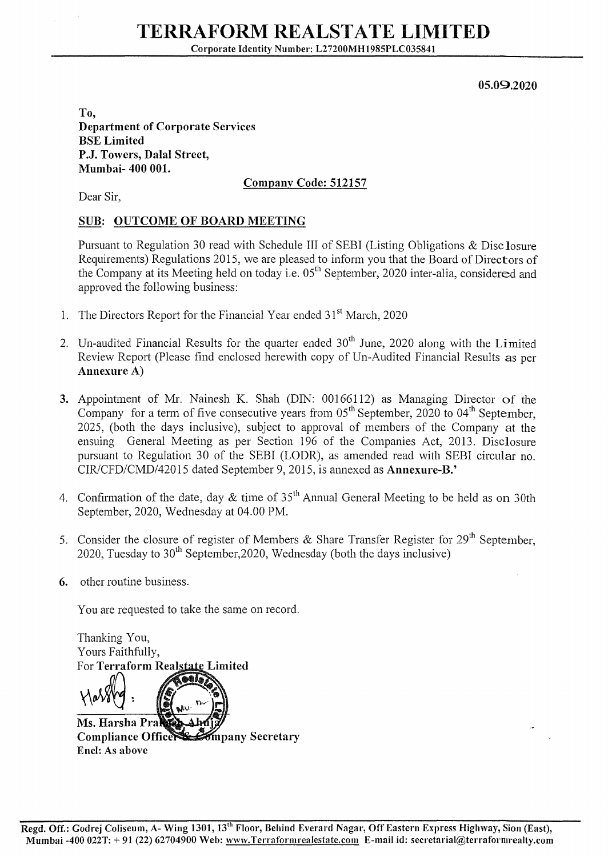05.09.2020

To, Department of Corporate Services BSE Limited P.J. Towers, Dalal Street, Mumbai- 400 001.

## Company Code: 512157

Dear Sir,

## SUB: OUTCOME OF BOARD MEETING

Pursuant to Regulation 30 read with Schedule III of SEBI (Listing Obligations & Disc Josure Requirements) Regulations 2015, we are pleased to inform you that the Board of Directors of the Company at its Meeting held on today i.e.  $0.5<sup>th</sup>$  September, 2020 inter-alia, considered and approved the following business:

- 1. The Directors Report for the Financial Year ended 31<sup>st</sup> March, 2020
- 2. Un-audited Financial Results for the quarter ended  $30<sup>th</sup>$  June, 2020 along with the Limited Review Report (Please find enclosed herewith copy of Un-Audited Financial Results as per Annexure A)
- 3. Appointment of Mr. Nainesh K. Shah (DIN: 00166112) as Managing Director of the Company for a term of five consecutive years from  $0.5<sup>th</sup>$  September, 2020 to 04<sup>th</sup> September, 2025, (both the days inclusive), subject to approval of members of the Company at the ensuing General Meeting as per Section 196 of the Companies Act, 2013. Disclosure pursuant to Regulation 30 of the SEBI (LODR), as amended read with SEBI circular no. CIR/CFD/CMD/42015 dated September 9, 2015, is annexed as Annexure-B.'
- 4. Confirmation of the date, day  $&$  time of 35<sup>th</sup> Annual General Meeting to be held as on 30th September, 2020, Wednesday at 04.00 PM.
- 5. Consider the closure of register of Members & Share Transfer Register for  $29<sup>th</sup>$  September. 2020, Tuesday to  $30<sup>th</sup>$  September, 2020, Wednesday (both the days inclusive)
- 6. other routine business.

You are requested to take the same on record.

Thanking You, Yours Faithfully, For Terraform Real  $\forall$ arry: Ms. Harsha Pra Compliance Office Sompany Secretary End: As above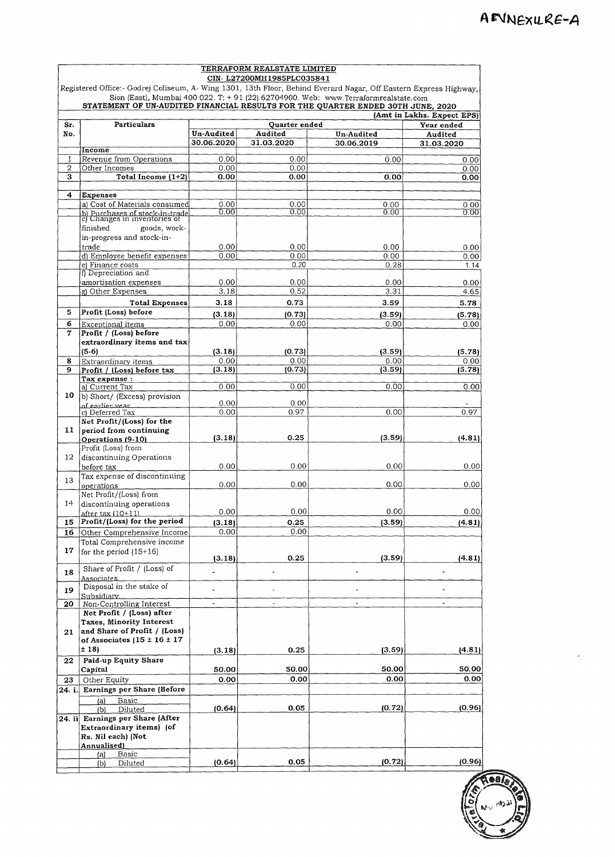| TERRAFORM REALSTATE LIMITED |                                                                                                                   |                          |                           |                                                                                      |                            |  |
|-----------------------------|-------------------------------------------------------------------------------------------------------------------|--------------------------|---------------------------|--------------------------------------------------------------------------------------|----------------------------|--|
|                             |                                                                                                                   |                          | CIN-L27200MH1985PLC035841 |                                                                                      |                            |  |
|                             | Registered Office:- Godrej Coliseum, A- Wing 1301, 13th Floor, Behind Everard Nagar, Off Eastern Express Highway, |                          |                           | Sion (East), Mumbai 400 022. T: $+91$ (22) 62704900. Web: www.Terraformrealstate.com |                            |  |
|                             | STATEMENT OF UN-AUDITED FINANCIAL RESULTS FOR THE QUARTER ENDED 30TH JUNE, 2020                                   |                          |                           |                                                                                      |                            |  |
|                             |                                                                                                                   |                          |                           |                                                                                      | (Amt in Lakhs. Expect EPS) |  |
| Sr.                         | Particulars                                                                                                       |                          | Quarter ended             |                                                                                      | Year ended                 |  |
| No.                         |                                                                                                                   | Un-Audited<br>30.06.2020 | Audited<br>31.03.2020     | Un-Audited                                                                           | Audited                    |  |
|                             | Income                                                                                                            |                          |                           | 30.06.2019                                                                           | 31.03.2020                 |  |
| 1                           | Revenue from Operations                                                                                           | 0.00                     | 0.00                      | 0.00                                                                                 | 0.00                       |  |
| 2                           | Other Incomes                                                                                                     | 0.00                     | 0.00                      |                                                                                      | 0.00                       |  |
| 3                           | Total Income (1+2)                                                                                                | 0.00                     | 0.00                      | 0.00                                                                                 | 0.00                       |  |
| 4                           | <b>Expenses</b>                                                                                                   |                          |                           |                                                                                      |                            |  |
|                             | a) Cost of Materials consumed                                                                                     | 0.00                     | 0.00                      | 0.00                                                                                 | 0.00                       |  |
|                             | b) Purchases of stock-in-trade<br>c) Changes in inventories of                                                    | 0.00                     | 0.00                      | 0.00                                                                                 | 0.00                       |  |
|                             | finished<br>goods, work-                                                                                          |                          |                           |                                                                                      |                            |  |
|                             | in-progress and stock-in-                                                                                         |                          |                           |                                                                                      |                            |  |
|                             | trade                                                                                                             | 0.00                     | 0.00                      | 0.00                                                                                 | 0.00                       |  |
|                             | d) Employee benefit expenses                                                                                      | 0.00                     | 0.00                      | 0.00                                                                                 | 0.00                       |  |
|                             | e) Finance costs                                                                                                  |                          | 0.20                      | 0.28                                                                                 | 1.14                       |  |
|                             | f) Depreciation and                                                                                               |                          |                           |                                                                                      |                            |  |
|                             | amortisation expenses                                                                                             | 0.00<br>3.18             | 0.00<br>0.52              | 0.00                                                                                 | 0.00                       |  |
|                             | g) Other Expenses                                                                                                 |                          |                           | 3.31                                                                                 | 4.65                       |  |
|                             | <b>Total Expenses</b><br>Profit (Loss) before                                                                     | 3.18                     | 0.73                      | 3.59                                                                                 | 5.78                       |  |
| 5                           |                                                                                                                   | (3.18)                   | (0.73)                    | (3.59)                                                                               | (5.78)                     |  |
| 6<br>7                      | Exceptional items                                                                                                 | 0.00                     | 0.00                      | 0.00                                                                                 | 0.00                       |  |
|                             | Profit / (Loss) before<br>extraordinary items and tax                                                             |                          |                           |                                                                                      |                            |  |
|                             | (5-6)                                                                                                             | (3.18)                   | (0.73)                    | (3.59)                                                                               | (5.78)                     |  |
| 8                           | Extraordinary items                                                                                               | 0.00                     | 0.00                      | 0.00                                                                                 | 0.00                       |  |
| 9                           | Profit / (Loss) before tax                                                                                        | (3.18)                   | (0.73)                    | (3.59)                                                                               | (5.78)                     |  |
|                             | Tax expense :                                                                                                     |                          |                           |                                                                                      |                            |  |
|                             | a) Current Tax                                                                                                    | 0.00                     | 0.00                      | 0.00                                                                                 | 0.00                       |  |
| 10                          | b) Short/ (Excess) provision<br>of earlier year                                                                   | 0.00                     | 0.00                      |                                                                                      |                            |  |
|                             | c) Deferred Tax                                                                                                   | 0.00                     | 0.97                      | 0.00                                                                                 | 0.97                       |  |
|                             | Net Profit/(Loss) for the                                                                                         |                          |                           |                                                                                      |                            |  |
| 11                          | period from continuing                                                                                            |                          |                           |                                                                                      |                            |  |
|                             | Operations (9-10)                                                                                                 | (3.18)                   | 0.25                      | (3.59)                                                                               | (4.81)                     |  |
| 12                          | Profit (Loss) from<br>discontinuing Operations                                                                    |                          |                           |                                                                                      |                            |  |
|                             | before tax                                                                                                        | 0.00                     | 0.00                      | 0.00                                                                                 | 0.00                       |  |
|                             | Tax expense of discontinuing                                                                                      |                          |                           |                                                                                      |                            |  |
| 13                          | operations                                                                                                        | 0.00                     | 0.00                      | 0.00                                                                                 | 0.00                       |  |
|                             | Net Profit/(Loss) from                                                                                            |                          |                           |                                                                                      |                            |  |
| 14                          | discontinuing operations                                                                                          |                          |                           |                                                                                      |                            |  |
|                             | after tax (10+11)                                                                                                 | 0.00                     | 0.00                      | 0.00                                                                                 | 0.00                       |  |
| 15                          | Profit/(Loss) for the period                                                                                      | (3.18)                   | 0.25                      | (3.59)                                                                               | (4.81)                     |  |
| 16                          | Other Comprehensive Income                                                                                        | 0.00                     | 0.00                      |                                                                                      |                            |  |
| 17                          | Total Comprehensive income<br>for the period $(15+16)$                                                            |                          |                           |                                                                                      |                            |  |
|                             |                                                                                                                   | (3.18)                   | 0.25                      | (3.59)                                                                               | (4.81)                     |  |
| 18                          | Share of Profit / (Loss) of                                                                                       |                          |                           |                                                                                      |                            |  |
|                             | Associates                                                                                                        |                          |                           |                                                                                      |                            |  |
| 19                          | Disposal in the stake of                                                                                          |                          |                           |                                                                                      |                            |  |
| 20                          | Subsidiarv.<br>Non-Controlling Interest                                                                           | $\overline{a}$           |                           | $\tilde{\phantom{a}}$                                                                |                            |  |
|                             | Net Profit / (Loss) after                                                                                         |                          |                           |                                                                                      |                            |  |
|                             | Taxes, Minority Interest                                                                                          |                          |                           |                                                                                      |                            |  |
| 21                          | and Share of Profit / (Loss)                                                                                      |                          |                           |                                                                                      |                            |  |
|                             | of Associates $(15 \pm 16 \pm 17)$                                                                                |                          |                           |                                                                                      |                            |  |
|                             | ± 18)                                                                                                             | (3.18)                   | 0.25                      | (3.59)                                                                               | (4.81)                     |  |
| 22                          | Paid-up Equity Share                                                                                              |                          |                           |                                                                                      |                            |  |
|                             | Capital                                                                                                           | 50.00                    | 50.00                     | 50.00                                                                                | 50.00                      |  |
| 23                          | Other Equity                                                                                                      | 0.00                     | 0.00                      | 0.00                                                                                 | 0.00                       |  |
| 24. i.                      | Earnings per Share (Before                                                                                        |                          |                           |                                                                                      |                            |  |
|                             | <b>Basic</b><br>(a)                                                                                               |                          |                           | (0.72)                                                                               | (0.96)                     |  |
|                             | Diluted<br>(b)<br>Earnings per Share (After                                                                       | (0.64)                   | 0.05                      |                                                                                      |                            |  |
| 24. ii                      | Extraordinary items) (of                                                                                          |                          |                           |                                                                                      |                            |  |
|                             | Rs. Nil each) (Not                                                                                                |                          |                           |                                                                                      |                            |  |
|                             | Annualised)                                                                                                       |                          |                           |                                                                                      |                            |  |
|                             | Basic<br>(a)                                                                                                      |                          |                           |                                                                                      |                            |  |
|                             | (b)<br>Diluted                                                                                                    | (0.64)                   | 0.05                      | (0.72)                                                                               | (0.96)                     |  |

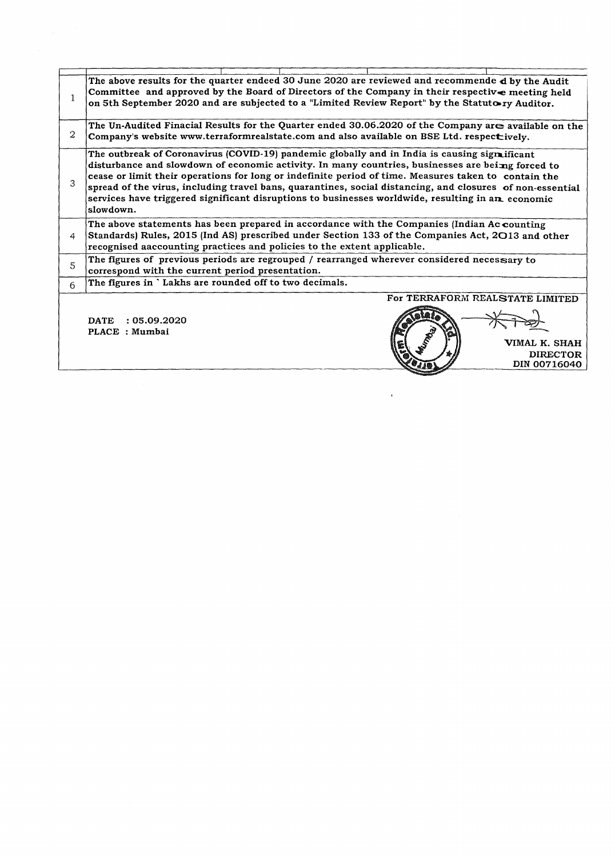|    | The above results for the quarter endeed 30 June 2020 are reviewed and recommende d by the Audit<br>Committee and approved by the Board of Directors of the Company in their respective meeting held<br>on 5th September 2020 and are subjected to a "Limited Review Report" by the Statuto ry Auditor.                                                                                                                                                                                                                                   |  |  |  |  |
|----|-------------------------------------------------------------------------------------------------------------------------------------------------------------------------------------------------------------------------------------------------------------------------------------------------------------------------------------------------------------------------------------------------------------------------------------------------------------------------------------------------------------------------------------------|--|--|--|--|
| 2  | The Un-Audited Finacial Results for the Quarter ended 30.06.2020 of the Company are available on the<br>Company's website www.terraformrealstate.com and also available on BSE Ltd. respectively.                                                                                                                                                                                                                                                                                                                                         |  |  |  |  |
| 3  | The outbreak of Coronavirus (COVID-19) pandemic globally and in India is causing signaliticant<br>disturbance and slowdown of economic activity. In many countries, businesses are beimg forced to<br>cease or limit their operations for long or indefinite period of time. Measures taken to contain the<br>spread of the virus, including travel bans, quarantines, social distancing, and closures of non-essential<br>services have triggered significant disruptions to businesses worldwide, resulting in an economic<br>slowdown. |  |  |  |  |
| 4  | The above statements has been prepared in accordance with the Companies (Indian Ac counting<br>Standards) Rules, 2015 (Ind AS) prescribed under Section 133 of the Companies Act, 2013 and other<br>recognised aaccounting practices and policies to the extent applicable.                                                                                                                                                                                                                                                               |  |  |  |  |
| 5  | The figures of previous periods are regrouped / rearranged wherever considered necessary to<br>correspond with the current period presentation.                                                                                                                                                                                                                                                                                                                                                                                           |  |  |  |  |
| 6. | The figures in 'Lakhs are rounded off to two decimals.                                                                                                                                                                                                                                                                                                                                                                                                                                                                                    |  |  |  |  |
|    | For TERRAFORM REALSTATE LIMITED<br><b>DATE</b><br>: 05.09.2020<br>PLACE : Mumbai<br>VIMAL K. SHAH<br><b>DIRECTOR</b><br>DIN 00716040                                                                                                                                                                                                                                                                                                                                                                                                      |  |  |  |  |

 $\mathcal{L}^{\text{max}}_{\text{max}}$  and  $\mathcal{L}^{\text{max}}_{\text{max}}$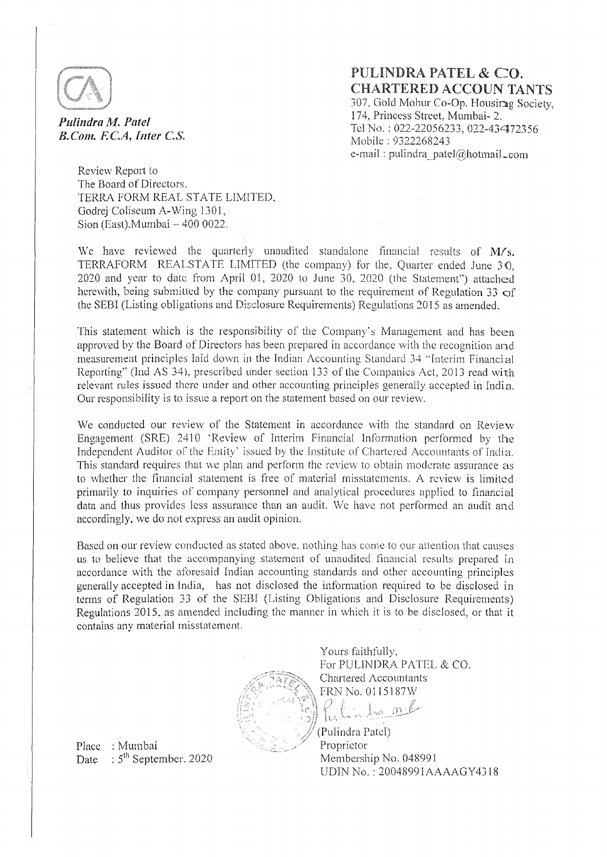

*Pulindra M. Patel* B.Com. F.C.A, Inter C.S. PULINDRA PATEL & CO. CHARTERED ACCOUN-TANTS 307. Gold Mohur Co-Op. Housir<sup>3</sup>g Society, 17 4, Princess Street, Mumbaj- 2. Tel No. : 022~22056233, 022-43472356 Mobile : 9322268243 e-mail: pulindra\_patel@hotmail\_com

Review Report to The Board of Directors. TERRA FORM REAL STATE LIMITED. Godrej Coliseum A-Wing 1301, Sion (East).Mumbai  $-4000022$ .

We have reviewed the quarterly unaudited standalone financial results of  $M/s$ . TERRAFORM REALSTATE LIMITED (the company) for the, Quarter ended June  $30$ .  $2020$  and year to date from April 01, 2020 to June 30, 2020 (the Statement") attached herewith, being submitted by the company pursuant to the requirement of Regulation 33  $\sigma$ f the SEBI (Listing obligations and Disclosure Requirements) Regulations 2015 as amended.

This statement which is the responsibility of the Company's Management and has been approved by the Board of Directors has been prepared in accordance with the recognition and measurement principles laid down in the Tndian Accounting Standard *34* "Interim Financial Reporting" (Ind AS 34), prescribed under section 133 of the Companies Act, 2013 read with relevant rules issued there under and other accounting principles generally accepted in India. Our responsibility is to issue a report on the statement based on our review.

We conducted our review of the Statement in accordance with the standard on Review Engagement (SRE) 2410 'Review of Interim Financial Information performed by the Independent Auditor of the Entity' issued by the Institute of Chartered Accountants of India. This standard requires that we plan and perform the review to obtain moderate assurance as to whether the financial statement is free of material misstatements. A review is limited primarily to inquiries of company personnel and analytical procedures applied to financial data and thus provides less assuranee than an audit We have not performed an audit and accordingly, we do not express an audit opinion.

Based on our review conducted as stated above, nothing has come to our attention that causes us to believe that the accompanying statement of unaudited financial results prepared in accordance with the aforesaid Indian accounting standards and other accounting principles generally accepted in India, has not disclosed the information required to be disclosed in terms of Regulation 33 of the SEBI (Listing Obligations and Disclosure Requirements) Regulations 2015, as amended including the manner in which it is to he disclosed, or that it contains any material misstatement

> Yours faithfully, For PULINDRA PATEL & CO. Chartered Accountants FRN No. 0115187\V In mil

(Pulindra Pntcl) Proprietor Membership No. 048991 ODIN No.: 20048991AAAAGY4318

Place : Mumbai Date  $\therefore$  5<sup>th</sup> September, 2020